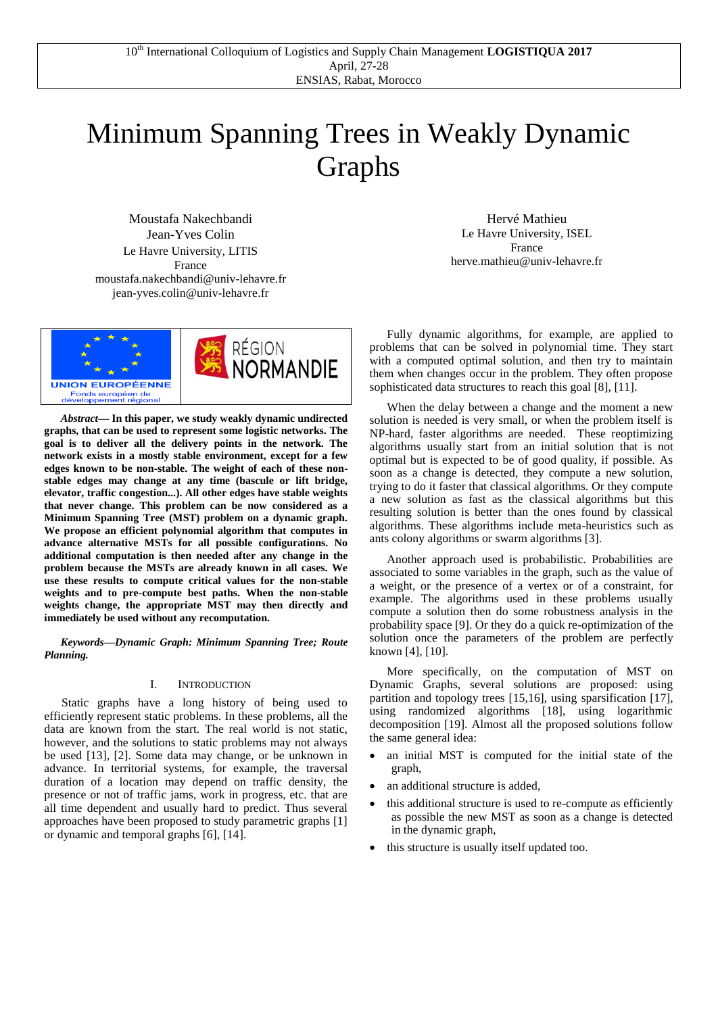# Minimum Spanning Trees in Weakly Dynamic Graphs

Moustafa Nakechbandi Jean-Yves Colin Le Havre University, LITIS France moustafa.nakechbandi@univ-lehavre.fr jean-yves.colin@univ-lehavre.fr



*Abstract***— In this paper, we study weakly dynamic undirected graphs, that can be used to represent some logistic networks. The goal is to deliver all the delivery points in the network. The network exists in a mostly stable environment, except for a few edges known to be non-stable. The weight of each of these nonstable edges may change at any time (bascule or lift bridge, elevator, traffic congestion...). All other edges have stable weights that never change. This problem can be now considered as a Minimum Spanning Tree (MST) problem on a dynamic graph. We propose an efficient polynomial algorithm that computes in advance alternative MSTs for all possible configurations. No additional computation is then needed after any change in the problem because the MSTs are already known in all cases. We use these results to compute critical values for the non-stable weights and to pre-compute best paths. When the non-stable weights change, the appropriate MST may then directly and immediately be used without any recomputation.**

*Keywords—Dynamic Graph: Minimum Spanning Tree; Route Planning.*

# I. INTRODUCTION

Static graphs have a long history of being used to efficiently represent static problems. In these problems, all the data are known from the start. The real world is not static, however, and the solutions to static problems may not always be used [13], [2]. Some data may change, or be unknown in advance. In territorial systems, for example, the traversal duration of a location may depend on traffic density, the presence or not of traffic jams, work in progress, etc. that are all time dependent and usually hard to predict. Thus several approaches have been proposed to study parametric graphs [1] or dynamic and temporal graphs [6], [14].

Hervé Mathieu Le Havre University, ISEL France herve.mathieu@univ-lehavre.fr

Fully dynamic algorithms, for example, are applied to problems that can be solved in polynomial time. They start with a computed optimal solution, and then try to maintain them when changes occur in the problem. They often propose sophisticated data structures to reach this goal [8], [11].

When the delay between a change and the moment a new solution is needed is very small, or when the problem itself is NP-hard, faster algorithms are needed. These reoptimizing algorithms usually start from an initial solution that is not optimal but is expected to be of good quality, if possible. As soon as a change is detected, they compute a new solution, trying to do it faster that classical algorithms. Or they compute a new solution as fast as the classical algorithms but this resulting solution is better than the ones found by classical algorithms. These algorithms include meta-heuristics such as ants colony algorithms or swarm algorithms [3].

Another approach used is probabilistic. Probabilities are associated to some variables in the graph, such as the value of a weight, or the presence of a vertex or of a constraint, for example. The algorithms used in these problems usually compute a solution then do some robustness analysis in the probability space [9]. Or they do a quick re-optimization of the solution once the parameters of the problem are perfectly known [4], [10].

More specifically, on the computation of MST on Dynamic Graphs, several solutions are proposed: using partition and topology trees [15,16], using sparsification [17], using randomized algorithms [18], using logarithmic decomposition [19]. Almost all the proposed solutions follow the same general idea:

- an initial MST is computed for the initial state of the graph,
- an additional structure is added,
- this additional structure is used to re-compute as efficiently as possible the new MST as soon as a change is detected in the dynamic graph,
- this structure is usually itself updated too.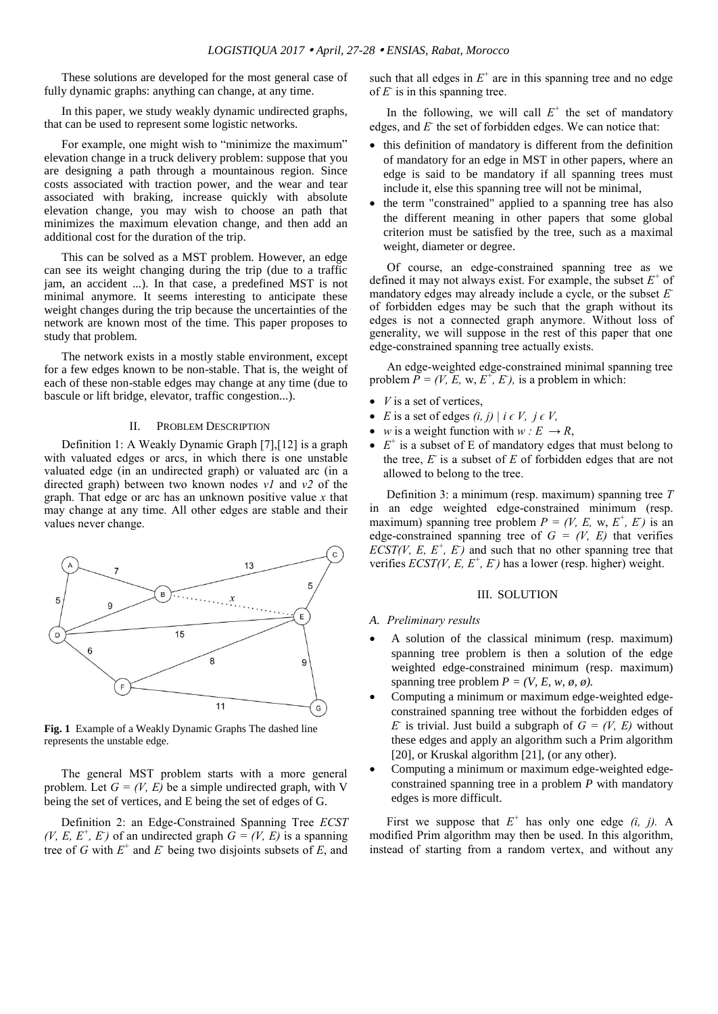These solutions are developed for the most general case of fully dynamic graphs: anything can change, at any time.

In this paper, we study weakly dynamic undirected graphs, that can be used to represent some logistic networks.

For example, one might wish to "minimize the maximum" elevation change in a truck delivery problem: suppose that you are designing a path through a mountainous region. Since costs associated with traction power, and the wear and tear associated with braking, increase quickly with absolute elevation change, you may wish to choose an path that minimizes the maximum elevation change, and then add an additional cost for the duration of the trip.

This can be solved as a MST problem. However, an edge can see its weight changing during the trip (due to a traffic jam, an accident ...). In that case, a predefined MST is not minimal anymore. It seems interesting to anticipate these weight changes during the trip because the uncertainties of the network are known most of the time. This paper proposes to study that problem.

The network exists in a mostly stable environment, except for a few edges known to be non-stable. That is, the weight of each of these non-stable edges may change at any time (due to bascule or lift bridge, elevator, traffic congestion...).

# II. PROBLEM DESCRIPTION

Definition 1: A Weakly Dynamic Graph [7],[12] is a graph with valuated edges or arcs, in which there is one unstable valuated edge (in an undirected graph) or valuated arc (in a directed graph) between two known nodes *v1* and *v2* of the graph. That edge or arc has an unknown positive value *x* that may change at any time. All other edges are stable and their values never change.



**Fig. 1** Example of a Weakly Dynamic Graphs The dashed line represents the unstable edge.

The general MST problem starts with a more general problem. Let  $G = (V, E)$  be a simple undirected graph, with V being the set of vertices, and E being the set of edges of G.

Definition 2: an Edge-Constrained Spanning Tree *ECST (V, E, E<sup>+</sup>, E<sup>+</sup>)* of an undirected graph  $G = (V, E)$  is a spanning tree of *G* with  $E^+$  and  $E^-$  being two disjoints subsets of  $E$ , and such that all edges in  $E^+$  are in this spanning tree and no edge of  $E$  is in this spanning tree.

In the following, we will call  $E^+$  the set of mandatory edges, and *E* the set of forbidden edges. We can notice that:

- this definition of mandatory is different from the definition of mandatory for an edge in MST in other papers, where an edge is said to be mandatory if all spanning trees must include it, else this spanning tree will not be minimal,
- the term "constrained" applied to a spanning tree has also the different meaning in other papers that some global criterion must be satisfied by the tree, such as a maximal weight, diameter or degree.

Of course, an edge-constrained spanning tree as we defined it may not always exist. For example, the subset  $E^+$  of mandatory edges may already include a cycle, or the subset *E*  of forbidden edges may be such that the graph without its edges is not a connected graph anymore. Without loss of generality, we will suppose in the rest of this paper that one edge-constrained spanning tree actually exists.

An edge-weighted edge-constrained minimal spanning tree problem  $\overline{P} = (V, E, w, E^+, E)$ , is a problem in which:

- *V* is a set of vertices,
- *E* is a set of edges  $(i, j) \mid i \in V$ ,  $j \in V$ ,
- *w* is a weight function with  $w : E \to R$ ,
- $\bullet$   $E^+$  is a subset of E of mandatory edges that must belong to the tree,  $E$  is a subset of  $E$  of forbidden edges that are not allowed to belong to the tree.

Definition 3: a minimum (resp. maximum) spanning tree *T* in an edge weighted edge-constrained minimum (resp. maximum) spanning tree problem  $P = (V, E, w, E^+, E)$  is an edge-constrained spanning tree of  $G = (V, E)$  that verifies *ECST(V, E, E<sup>+</sup>, E<sup>-</sup>)* and such that no other spanning tree that verifies  $ECST(V, E, E^+, E^+)$  has a lower (resp. higher) weight.

# III. SOLUTION

#### *A. Preliminary results*

- A solution of the classical minimum (resp. maximum) spanning tree problem is then a solution of the edge weighted edge-constrained minimum (resp. maximum) spanning tree problem  $P = (V, E, w, \phi, \phi)$ .
- Computing a minimum or maximum edge-weighted edgeconstrained spanning tree without the forbidden edges of *E* is trivial. Just build a subgraph of  $G = (V, E)$  without these edges and apply an algorithm such a Prim algorithm [20], or Kruskal algorithm [21], (or any other).
- Computing a minimum or maximum edge-weighted edgeconstrained spanning tree in a problem *P* with mandatory edges is more difficult.

First we suppose that  $E^+$  has only one edge  $(i, j)$ . A modified Prim algorithm may then be used. In this algorithm, instead of starting from a random vertex, and without any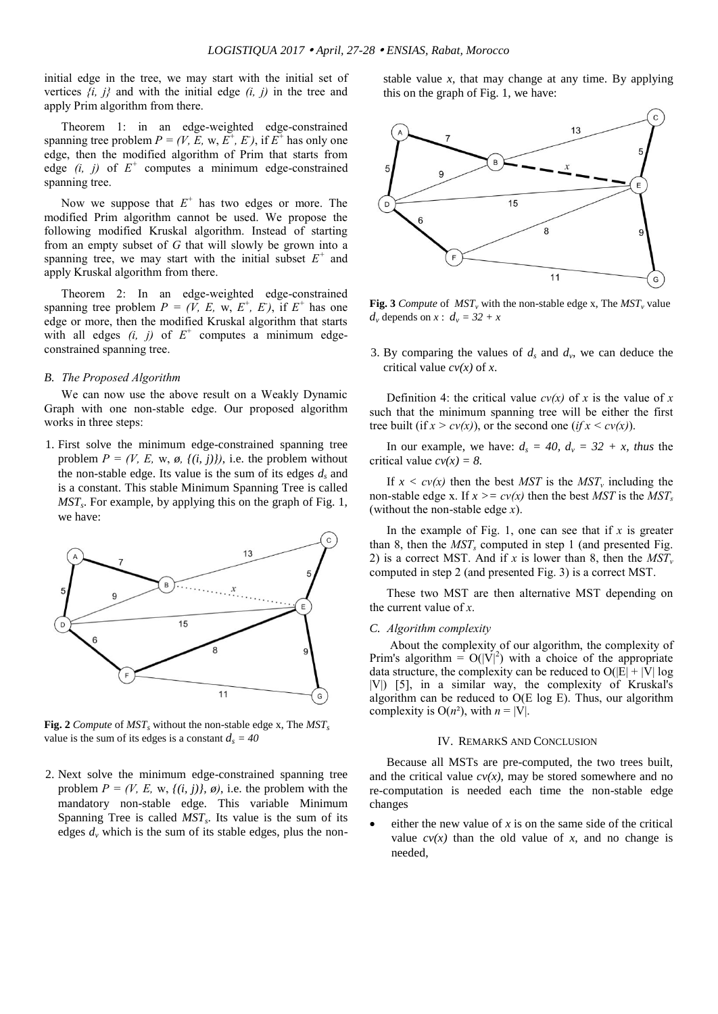initial edge in the tree, we may start with the initial set of vertices *{i, j}* and with the initial edge *(i, j)* in the tree and apply Prim algorithm from there.

Theorem 1: in an edge-weighted edge-constrained spanning tree problem  $P = (V, E, w, E^+, E^+)$ , if  $E^+$  has only one edge, then the modified algorithm of Prim that starts from edge  $(i, j)$  of  $E^+$  computes a minimum edge-constrained spanning tree.

Now we suppose that  $E^+$  has two edges or more. The modified Prim algorithm cannot be used. We propose the following modified Kruskal algorithm. Instead of starting from an empty subset of *G* that will slowly be grown into a spanning tree, we may start with the initial subset  $E^+$  and apply Kruskal algorithm from there.

Theorem 2: In an edge-weighted edge-constrained spanning tree problem  $P = (V, E, w, E^+, E)$ , if  $E^+$  has one edge or more, then the modified Kruskal algorithm that starts with all edges  $(i, j)$  of  $E^+$  computes a minimum edgeconstrained spanning tree.

### *B. The Proposed Algorithm*

We can now use the above result on a Weakly Dynamic Graph with one non-stable edge. Our proposed algorithm works in three steps:

1. First solve the minimum edge-constrained spanning tree problem  $P = (V, E, w, \phi, \{(i, j)\})$ , i.e. the problem without the non-stable edge. Its value is the sum of its edges *d<sup>s</sup>* and is a constant. This stable Minimum Spanning Tree is called *MST<sup>s</sup>* . For example, by applying this on the graph of Fig. 1, we have:



**Fig. 2** *Compute* of *MST<sup>s</sup>* without the non-stable edge x, The *MST<sup>s</sup>* value is the sum of its edges is a constant  $d_s = 40$ 

2. Next solve the minimum edge-constrained spanning tree problem  $P = (V, E, w, \{(i, j)\}, \emptyset)$ , i.e. the problem with the mandatory non-stable edge. This variable Minimum Spanning Tree is called *MST<sup>s</sup>* . Its value is the sum of its edges  $d<sub>v</sub>$  which is the sum of its stable edges, plus the nonstable value *x*, that may change at any time. By applying this on the graph of Fig. 1, we have:



**Fig. 3** *Compute* of  $MST_v$  with the non-stable edge x, The  $MST_v$  value  $d_v$  depends on  $x$  :  $d_v = 32 + x$ 

3. By comparing the values of  $d_s$  and  $d_v$ , we can deduce the critical value *cv(x)* of *x*.

Definition 4: the critical value  $cv(x)$  of x is the value of x such that the minimum spanning tree will be either the first tree built (if  $x > cv(x)$ ), or the second one (*if*  $x < cv(x)$ ).

In our example, we have:  $d_s = 40$ ,  $d_v = 32 + x$ , thus the critical value  $cv(x) = 8$ .

If  $x < cv(x)$  then the best *MST* is the *MST<sub>v</sub>* including the non-stable edge x. If  $x \geq c v(x)$  then the best *MST* is the *MST*<sub>*s*</sub> (without the non-stable edge *x*).

In the example of Fig. 1, one can see that if *x* is greater than 8, then the *MST<sup>s</sup>* computed in step 1 (and presented Fig. 2) is a correct MST. And if *x* is lower than 8, then the  $MST_v$ computed in step 2 (and presented Fig. 3) is a correct MST.

These two MST are then alternative MST depending on the current value of *x*.

# *C. Algorithm complexity*

About the complexity of our algorithm, the complexity of Prim's algorithm =  $O(|V|^2)$  with a choice of the appropriate data structure, the complexity can be reduced to  $O(|E| + |V| \log$ |V|) [5], in a similar way, the complexity of Kruskal's algorithm can be reduced to O(E log E). Thus, our algorithm complexity is  $O(n^2)$ , with  $n = |V|$ .

# IV. REMARKS AND CONCLUSION

Because all MSTs are pre-computed, the two trees built, and the critical value  $cv(x)$ , may be stored somewhere and no re-computation is needed each time the non-stable edge changes

either the new value of  $x$  is on the same side of the critical value  $cv(x)$  than the old value of x, and no change is needed,